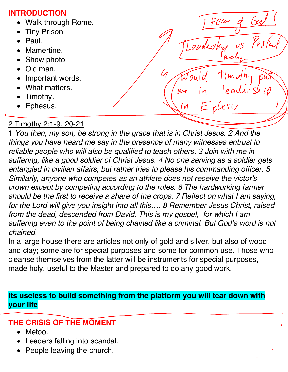#### **INTRODUCTION**

- Walk through Rome.
- **Tiny Prison**
- Paul.
- Mamertine.
- Show photo
- Old man.
- Important words.
- What matters.
- Timothy.
- Ephesus.

## 2 Timothy 2:1-9, 20-21

1 *You then, my son, be strong in the grace that is in Christ Jesus. 2 And the things you have heard me say in the presence of many witnesses entrust to reliable people who will also be qualified to teach others. 3 Join with me in suffering, like a good soldier of Christ Jesus. 4 No one serving as a soldier gets entangled in civilian affairs, but rather tries to please his commanding officer. 5 Similarly, anyone who competes as an athlete does not receive the victor's crown except by competing according to the rules. 6 The hardworking farmer should be the first to receive a share of the crops. 7 Reflect on what I am saying, for the Lord will give you insight into all this…. 8 Remember Jesus Christ, raised from the dead, descended from David. This is my gospel, for which I am suffering even to the point of being chained like a criminal. But God's word is not chained.*

Teur

И

In a large house there are articles not only of gold and silver, but also of wood and clay; some are for special purposes and some for common use. Those who cleanse themselves from the latter will be instruments for special purposes, made holy, useful to the Master and prepared to do any good work.

**Its useless to build something from the platform you will tear down with your life**

## **THE CRISIS OF THE MOMENT**

- Metoo.
- Leaders falling into scandal.
- People leaving the church.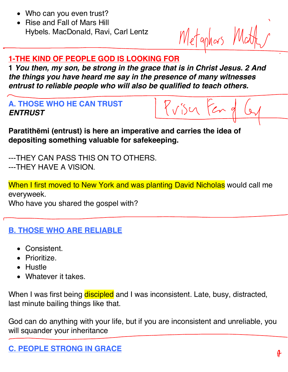- Who can you even trust?
- Rise and Fall of Mars Hill Hybels. MacDonald, Ravi, Carl Lentz

Metaphas Matt

#### **1-THE KIND OF PEOPLE GOD IS LOOKING FOR**

**1** *You then, my son, be strong in the grace that is in Christ Jesus. 2 And the things you have heard me say in the presence of many witnesses entrust to reliable people who will also be qualified to teach others.*

**A. THOSE WHO HE CAN TRUST** *ENTRUST*

Priser Fen 9

**Paratithēmi (entrust) is here an imperative and carries the idea of depositing something valuable for safekeeping.**

---THEY CAN PASS THIS ON TO OTHERS. ---THEY HAVE A VISION.

When I first moved to New York and was planting David Nicholas would call me everyweek.

Who have you shared the gospel with?

- **B. THOSE WHO ARE RELIABLE**
	- Consistent.
	- Prioritize.
	- Hustle
	- Whatever it takes.

When I was first being discipled and I was inconsistent. Late, busy, distracted, last minute bailing things like that.

God can do anything with your life, but if you are inconsistent and unreliable, you will squander your inheritance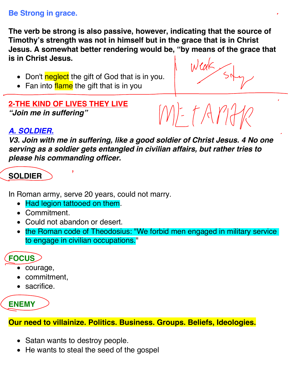#### **Be Strong in grace.**

**The verb be strong is also passive, however, indicating that the source of Timothy's strength was not in himself but in the grace that is in Christ Jesus. A somewhat better rendering would be, "by means of the grace that is in Christ Jesus.**

- Don't neglect the gift of God that is in you.
- Fan into flame the gift that is in you

## **2-THE KIND OF LIVES THEY LIVE** *"Join me in suffering"*

METAMA

## *A. SOLDIER.*

*V3. Join with me in suffering, like a good soldier of Christ Jesus. 4 No one serving as a soldier gets entangled in civilian affairs, but rather tries to please his commanding officer.*

## **SOLDIER**

In Roman army, serve 20 years, could not marry.

- Had legion tattooed on them.
- Commitment.
- Could not abandon or desert.
- the Roman code of Theodosius: "We forbid men engaged in military service to engage in civilian occupations."

## **FOCUS**

- courage,
- commitment,
- sacrifice.

# **ENEMY**

**Our need to villainize. Politics. Business. Groups. Beliefs, Ideologies.**

- Satan wants to destroy people.
- He wants to steal the seed of the gospel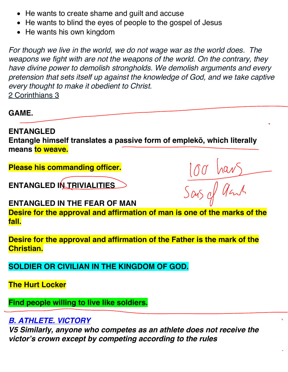- He wants to create shame and guilt and accuse
- He wants to blind the eyes of people to the gospel of Jesus
- He wants his own kingdom

*For though we live in the world, we do not wage war as the world does. The weapons we fight with are not the weapons of the world. On the contrary, they have divine power to demolish strongholds. We demolish arguments and every pretension that sets itself up against the knowledge of God, and we take captive every thought to make it obedient to Christ.* 2 Corinthians 3

**GAME.**

**ENTANGLED Entangle himself translates a passive form of emplekō, which literally means to weave.**

**Please his commanding officer.**

**ENTANGLED IN TRIVIALITIES**

100 hars

**ENTANGLED IN THE FEAR OF MAN**

**Desire for the approval and affirmation of man is one of the marks of the fall.**

**Desire for the approval and affirmation of the Father is the mark of the Christian.**

**SOLDIER OR CIVILIAN IN THE KINGDOM OF GOD.**

**The Hurt Locker**

**Find people willing to live like soldiers.**

## *B. ATHLETE. VICTORY*

*V5 Similarly, anyone who competes as an athlete does not receive the victor's crown except by competing according to the rules*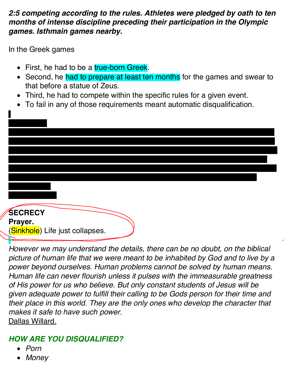#### *2:5 competing according to the rules. Athletes were pledged by oath to ten months of intense discipline preceding their participation in the Olympic games. Isthmain games nearby.*

In the Greek games

- First, he had to be a true-born Greek.
- Second, he had to prepare at least ten months for the games and swear to that before a statue of Zeus.
- Third, he had to compete within the specific rules for a given event.
- To fail in any of those requirements meant automatic disqualification.

# **SECRECY**

**Prayer.** (Sinkhole) Life just collapses.

*However we may understand the details, there can be no doubt, on the biblical picture of human life that we were meant to be inhabited by God and to live by a power beyond ourselves. Human problems cannot be solved by human means. Human life can never flourish unless it pulses with the immeasurable greatness of His power for us who believe. But only constant students of Jesus will be given adequate power to fulfill their calling to be Gods person for their time and their place in this world. They are the only ones who develop the character that makes it safe to have such power.* Dallas Willard.

## *HOW ARE YOU DISQUALIFIED?*

- *Porn*
- *Money*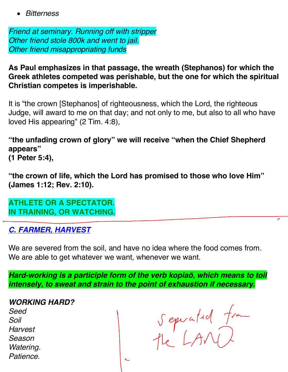• *Bitterness*

*Friend at seminary. Running off with stripper Other friend stole 800k and went to jail. Other friend misappropriating funds*

**As Paul emphasizes in that passage, the wreath (Stephanos) for which the Greek athletes competed was perishable, but the one for which the spiritual Christian competes is imperishable.** 

It is "the crown [Stephanos] of righteousness, which the Lord, the righteous Judge, will award to me on that day; and not only to me, but also to all who have loved His appearing" (2 Tim. 4:8),

**"the unfading crown of glory" we will receive "when the Chief Shepherd appears"** 

**(1 Peter 5:4),** 

**"the crown of life, which the Lord has promised to those who love Him" (James 1:12; Rev. 2:10).** 

**ATHLETE OR A SPECTATOR. IN TRAINING, OR WATCHING.**

*C. FARMER, HARVEST*

We are severed from the soil, and have no idea where the food comes from. We are able to get whatever we want, whenever we want.

*Hard-working is a participle form of the verb kopia***ō***, which means to toil intensely, to sweat and strain to the point of exhaustion if necessary.*

*WORKING HARD?*

*Seed Soil Harvest Season Watering. Patience.*

Sepuated from

 $\overline{c}$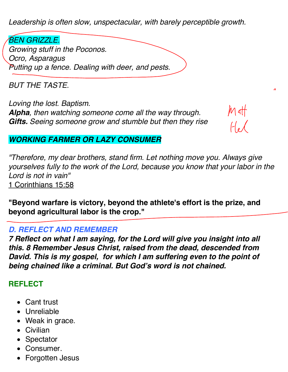*Leadership is often slow, unspectacular, with barely perceptible growth.*

*BEN GRIZZLE. Growing stuff in the Poconos. Ocro, Asparagus Putting up a fence. Dealing with deer, and pests.*

*BUT THE TASTE.*

*Loving the lost. Baptism. Alpha, then watching someone come all the way through. Gifts. Seeing someone grow and stumble but then they rise*

 $M$  att

#### *WORKING FARMER OR LAZY CONSUMER*

*"Therefore, my dear brothers, stand firm. Let nothing move you. Always give yourselves fully to the work of the Lord, because you know that your labor in the Lord is not in vain"*  1 Corinthians 15:58

**"Beyond warfare is victory, beyond the athlete's effort is the prize, and beyond agricultural labor is the crop."**

#### *D. REFLECT AND REMEMBER*

*7 Reflect on what I am saying, for the Lord will give you insight into all this. 8 Remember Jesus Christ, raised from the dead, descended from David. This is my gospel, for which I am suffering even to the point of being chained like a criminal. But God's word is not chained.*

#### **REFLECT**

- Cant trust
- Unreliable
- Weak in grace.
- Civilian
- **Spectator**
- Consumer.
- Forgotten Jesus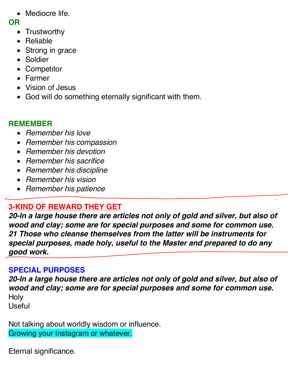• Mediocre life.

#### **OR**

- Trustworthy
- Reliable
- Strong in grace
- Soldier
- Competitor
- Farmer
- Vision of Jesus
- God will do something eternally significant with them.

## **REMEMBER**

- *Remember his love*
- *Remember his compassion*
- *Remember his devotion*
- *Remember his sacrifice*
- *Remember his discipline*
- *Remember his vision*
- *Remember his patience*

## **3-KIND OF REWARD THEY GET**

*20-In a large house there are articles not only of gold and silver, but also of wood and clay; some are for special purposes and some for common use. 21 Those who cleanse themselves from the latter will be instruments for special purposes, made holy, useful to the Master and prepared to do any good work.*

## **SPECIAL PURPOSES**

*20-In a large house there are articles not only of gold and silver, but also of wood and clay; some are for special purposes and some for common use.* **Holy** 

Useful

Not talking about worldly wisdom or influence. Growing your Instagram or whatever.

Eternal significance.